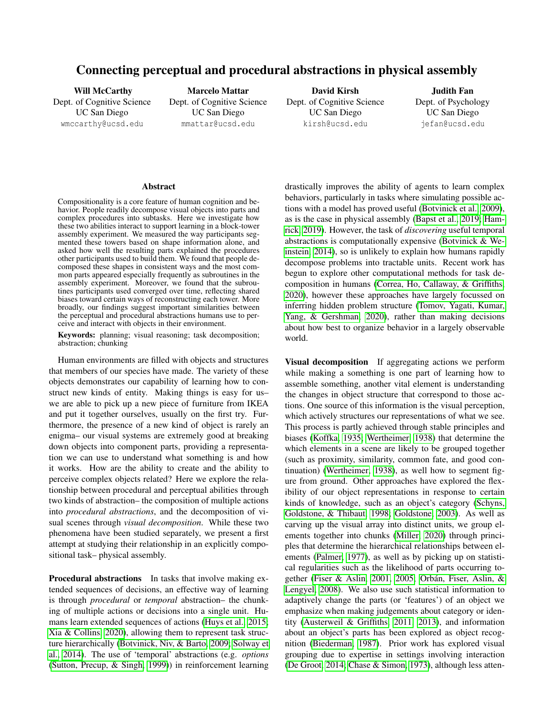# Connecting perceptual and procedural abstractions in physical assembly

Will McCarthy Dept. of Cognitive Science UC San Diego wmccarthy@ucsd.edu

Marcelo Mattar Dept. of Cognitive Science UC San Diego mmattar@ucsd.edu

David Kirsh Dept. of Cognitive Science UC San Diego kirsh@ucsd.edu

Judith Fan Dept. of Psychology UC San Diego jefan@ucsd.edu

#### Abstract

Compositionality is a core feature of human cognition and behavior. People readily decompose visual objects into parts and complex procedures into subtasks. Here we investigate how these two abilities interact to support learning in a block-tower assembly experiment. We measured the way participants segmented these towers based on shape information alone, and asked how well the resulting parts explained the procedures other participants used to build them. We found that people decomposed these shapes in consistent ways and the most common parts appeared especially frequently as subroutines in the assembly experiment. Moreover, we found that the subroutines participants used converged over time, reflecting shared biases toward certain ways of reconstructing each tower. More broadly, our findings suggest important similarities between the perceptual and procedural abstractions humans use to perceive and interact with objects in their environment.

Keywords: planning; visual reasoning; task decomposition; abstraction; chunking

Human environments are filled with objects and structures that members of our species have made. The variety of these objects demonstrates our capability of learning how to construct new kinds of entity. Making things is easy for us– we are able to pick up a new piece of furniture from IKEA and put it together ourselves, usually on the first try. Furthermore, the presence of a new kind of object is rarely an enigma– our visual systems are extremely good at breaking down objects into component parts, providing a representation we can use to understand what something is and how it works. How are the ability to create and the ability to perceive complex objects related? Here we explore the relationship between procedural and perceptual abilities through two kinds of abstraction– the composition of multiple actions into *procedural abstractions*, and the decomposition of visual scenes through *visual decomposition*. While these two phenomena have been studied separately, we present a first attempt at studying their relationship in an explicitly compositional task– physical assembly.

Procedural abstractions In tasks that involve making extended sequences of decisions, an effective way of learning is through *procedural* or *temporal* abstraction– the chunking of multiple actions or decisions into a single unit. Humans learn extended sequences of actions [\(Huys et al., 2015;](#page-6-0) [Xia & Collins, 2020\)](#page-6-1), allowing them to represent task structure hierarchically [\(Botvinick, Niv, & Barto, 2009;](#page-5-0) [Solway et](#page-6-2) [al., 2014\)](#page-6-2). The use of 'temporal' abstractions (e.g. *options* [\(Sutton, Precup, & Singh, 1999\)](#page-6-3)) in reinforcement learning drastically improves the ability of agents to learn complex behaviors, particularly in tasks where simulating possible actions with a model has proved useful [\(Botvinick et al., 2009\)](#page-5-0), as is the case in physical assembly [\(Bapst et al., 2019;](#page-5-1) [Ham](#page-5-2)[rick, 2019\)](#page-5-2). However, the task of *discovering* useful temporal abstractions is computationally expensive [\(Botvinick & We](#page-5-3)[instein, 2014\)](#page-5-3), so is unlikely to explain how humans rapidly decompose problems into tractable units. Recent work has begun to explore other computational methods for task decomposition in humans [\(Correa, Ho, Callaway, & Griffiths,](#page-5-4) [2020\)](#page-5-4), however these approaches have largely focussed on inferring hidden problem structure [\(Tomov, Yagati, Kumar,](#page-6-4) [Yang, & Gershman, 2020\)](#page-6-4), rather than making decisions about how best to organize behavior in a largely observable world.

Visual decomposition If aggregating actions we perform while making a something is one part of learning how to assemble something, another vital element is understanding the changes in object structure that correspond to those actions. One source of this information is the visual perception, which actively structures our representations of what we see. This process is partly achieved through stable principles and biases [\(Koffka, 1935;](#page-6-5) [Wertheimer, 1938\)](#page-6-6) that determine the which elements in a scene are likely to be grouped together (such as proximity, similarity, common fate, and good continuation) [\(Wertheimer, 1938\)](#page-6-6), as well how to segment figure from ground. Other approaches have explored the flexibility of our object representations in response to certain kinds of knowledge, such as an object's category [\(Schyns,](#page-6-7) [Goldstone, & Thibaut, 1998;](#page-6-7) [Goldstone, 2003\)](#page-5-5). As well as carving up the visual array into distinct units, we group elements together into chunks [\(Miller, 2020\)](#page-6-8) through principles that determine the hierarchical relationships between elements [\(Palmer, 1977\)](#page-6-9), as well as by picking up on statistical regularities such as the likelihood of parts occurring to-gether [\(Fiser & Aslin, 2001,](#page-5-6) [2005;](#page-5-7) Orbán, Fiser, Aslin, & [Lengyel, 2008\)](#page-6-10). We also use such statistical information to adaptively change the parts (or 'features') of an object we emphasize when making judgements about category or identity [\(Austerweil & Griffiths, 2011,](#page-5-8) [2013\)](#page-5-9), and information about an object's parts has been explored as object recognition [\(Biederman, 1987\)](#page-5-10). Prior work has explored visual grouping due to expertise in settings involving interaction [\(De Groot, 2014;](#page-5-11) [Chase & Simon, 1973\)](#page-5-12), although less atten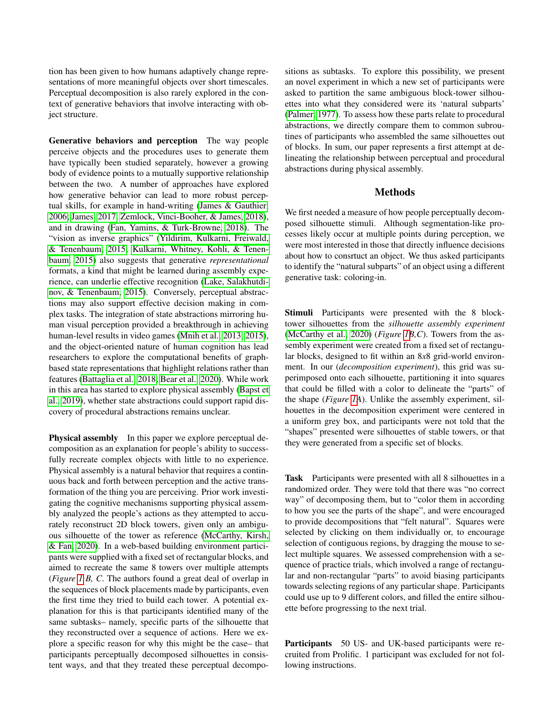tion has been given to how humans adaptively change representations of more meaningful objects over short timescales. Perceptual decomposition is also rarely explored in the context of generative behaviors that involve interacting with object structure.

Generative behaviors and perception The way people perceive objects and the procedures uses to generate them have typically been studied separately, however a growing body of evidence points to a mutually supportive relationship between the two. A number of approaches have explored how generative behavior can lead to more robust perceptual skills, for example in hand-writing [\(James & Gauthier,](#page-6-11) [2006;](#page-6-11) [James, 2017;](#page-6-12) [Zemlock, Vinci-Booher, & James, 2018\)](#page-6-13), and in drawing [\(Fan, Yamins, & Turk-Browne, 2018\)](#page-5-13). The "vision as inverse graphics" [\(Yildirim, Kulkarni, Freiwald,](#page-6-14) [& Tenenbaum, 2015;](#page-6-14) [Kulkarni, Whitney, Kohli, & Tenen](#page-6-15)[baum, 2015\)](#page-6-15) also suggests that generative *representational* formats, a kind that might be learned during assembly experience, can underlie effective recognition [\(Lake, Salakhutdi](#page-6-16)[nov, & Tenenbaum, 2015\)](#page-6-16). Conversely, perceptual abstractions may also support effective decision making in complex tasks. The integration of state abstractions mirroring human visual perception provided a breakthrough in achieving human-level results in video games [\(Mnih et al., 2013,](#page-6-17) [2015\)](#page-6-18), and the object-oriented nature of human cognition has lead researchers to explore the computational benefits of graphbased state representations that highlight relations rather than features [\(Battaglia et al., 2018;](#page-5-14) [Bear et al., 2020\)](#page-5-15). While work in this area has started to explore physical assembly [\(Bapst et](#page-5-1) [al., 2019\)](#page-5-1), whether state abstractions could support rapid discovery of procedural abstractions remains unclear.

Physical assembly In this paper we explore perceptual decomposition as an explanation for people's ability to successfully recreate complex objects with little to no experience. Physical assembly is a natural behavior that requires a continuous back and forth between perception and the active transformation of the thing you are perceiving. Prior work investigating the cognitive mechanisms supporting physical assembly analyzed the people's actions as they attempted to accurately reconstruct 2D block towers, given only an ambiguous silhouette of the tower as reference [\(McCarthy, Kirsh,](#page-6-19) [& Fan, 2020\)](#page-6-19). In a web-based building environment participants were supplied with a fixed set of rectangular blocks, and aimed to recreate the same 8 towers over multiple attempts (*Figure [1](#page-2-0) B, C*. The authors found a great deal of overlap in the sequences of block placements made by participants, even the first time they tried to build each tower. A potential explanation for this is that participants identified many of the same subtasks– namely, specific parts of the silhouette that they reconstructed over a sequence of actions. Here we explore a specific reason for why this might be the case– that participants perceptually decomposed silhouettes in consistent ways, and that they treated these perceptual decompositions as subtasks. To explore this possibility, we present an novel experiment in which a new set of participants were asked to partition the same ambiguous block-tower silhouettes into what they considered were its 'natural subparts' [\(Palmer, 1977\)](#page-6-9). To assess how these parts relate to procedural abstractions, we directly compare them to common subroutines of participants who assembled the same silhouettes out of blocks. In sum, our paper represents a first attempt at delineating the relationship between perceptual and procedural abstractions during physical assembly.

# Methods

We first needed a measure of how people perceptually decomposed silhouette stimuli. Although segmentation-like processes likely occur at multiple points during perception, we were most interested in those that directly influence decisions about how to consrtuct an object. We thus asked participants to identify the "natural subparts" of an object using a different generative task: coloring-in.

Stimuli Participants were presented with the 8 blocktower silhouettes from the *silhouette assembly experiment* [\(McCarthy et al., 2020\)](#page-6-19) (*Figure [1B](#page-2-0),C*). Towers from the assembly experiment were created from a fixed set of rectangular blocks, designed to fit within an 8*x*8 grid-world environment. In our (*decomposition experiment*), this grid was superimposed onto each silhouette, partitioning it into squares that could be filled with a color to delineate the "parts" of the shape (*Figure [1A](#page-2-0)*). Unlike the assembly experiment, silhouettes in the decomposition experiment were centered in a uniform grey box, and participants were not told that the "shapes" presented were silhouettes of stable towers, or that they were generated from a specific set of blocks.

Task Participants were presented with all 8 silhouettes in a randomized order. They were told that there was "no correct way" of decomposing them, but to "color them in according to how you see the parts of the shape", and were encouraged to provide decompositions that "felt natural". Squares were selected by clicking on them individually or, to encourage selection of contiguous regions, by dragging the mouse to select multiple squares. We assessed comprehension with a sequence of practice trials, which involved a range of rectangular and non-rectangular "parts" to avoid biasing participants towards selecting regions of any particular shape. Participants could use up to 9 different colors, and filled the entire silhouette before progressing to the next trial.

Participants 50 US- and UK-based participants were recruited from Prolific. 1 participant was excluded for not following instructions.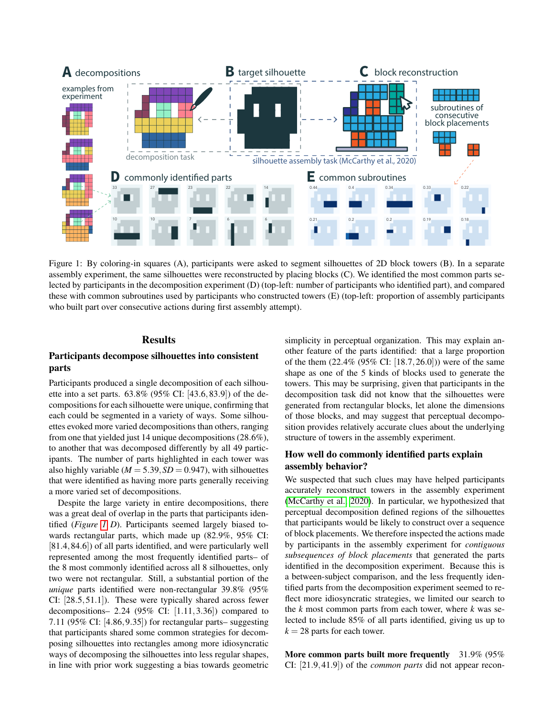

Figure 1: By coloring-in squares (A), participants were asked to segment silhouettes of 2D block towers (B). In a separate assembly experiment, the same silhouettes were reconstructed by placing blocks (C). We identified the most common parts selected by participants in the decomposition experiment (D) (top-left: number of participants who identified part), and compared these with common subroutines used by participants who constructed towers (E) (top-left: proportion of assembly participants who built part over consecutive actions during first assembly attempt).

# **Results**

# Participants decompose silhouettes into consistent parts

Participants produced a single decomposition of each silhouette into a set parts. 63.8% (95% CI: [43.6,83.9]) of the decompositions for each silhouette were unique, confirming that each could be segmented in a variety of ways. Some silhouettes evoked more varied decompositions than others, ranging from one that yielded just 14 unique decompositions (28.6%), to another that was decomposed differently by all 49 participants. The number of parts highlighted in each tower was also highly variable  $(M = 5.39, SD = 0.947)$ , with silhouettes that were identified as having more parts generally receiving a more varied set of decompositions.

Despite the large variety in entire decompositions, there was a great deal of overlap in the parts that participants identified (*Figure [1](#page-2-0) D*). Participants seemed largely biased towards rectangular parts, which made up (82.9%, 95% CI: [81.4,84.6]) of all parts identified, and were particularly well represented among the most frequently identified parts– of the 8 most commonly identified across all 8 silhouettes, only two were not rectangular. Still, a substantial portion of the *unique* parts identified were non-rectangular 39.8% (95% CI: [28.5,51.1]). These were typically shared across fewer decompositions– 2.24 (95% CI:  $[1.11, 3.36]$ ) compared to 7.11 (95% CI: [4.86,9.35]) for rectangular parts– suggesting that participants shared some common strategies for decomposing silhouettes into rectangles among more idiosyncratic ways of decomposing the silhouettes into less regular shapes, in line with prior work suggesting a bias towards geometric <span id="page-2-0"></span>simplicity in perceptual organization. This may explain another feature of the parts identified: that a large proportion of the them (22.4% (95% CI: [18.7,26.0])) were of the same shape as one of the 5 kinds of blocks used to generate the towers. This may be surprising, given that participants in the decomposition task did not know that the silhouettes were generated from rectangular blocks, let alone the dimensions of those blocks, and may suggest that perceptual decomposition provides relatively accurate clues about the underlying structure of towers in the assembly experiment.

# How well do commonly identified parts explain assembly behavior?

We suspected that such clues may have helped participants accurately reconstruct towers in the assembly experiment [\(McCarthy et al., 2020\)](#page-6-19). In particular, we hypothesized that perceptual decomposition defined regions of the silhouettes that participants would be likely to construct over a sequence of block placements. We therefore inspected the actions made by participants in the assembly experiment for *contiguous subsequences of block placements* that generated the parts identified in the decomposition experiment. Because this is a between-subject comparison, and the less frequently identified parts from the decomposition experiment seemed to reflect more idiosyncratic strategies, we limited our search to the *k* most common parts from each tower, where *k* was selected to include 85% of all parts identified, giving us up to  $k = 28$  parts for each tower.

More common parts built more frequently 31.9% (95%) CI: [21.9,41.9]) of the *common parts* did not appear recon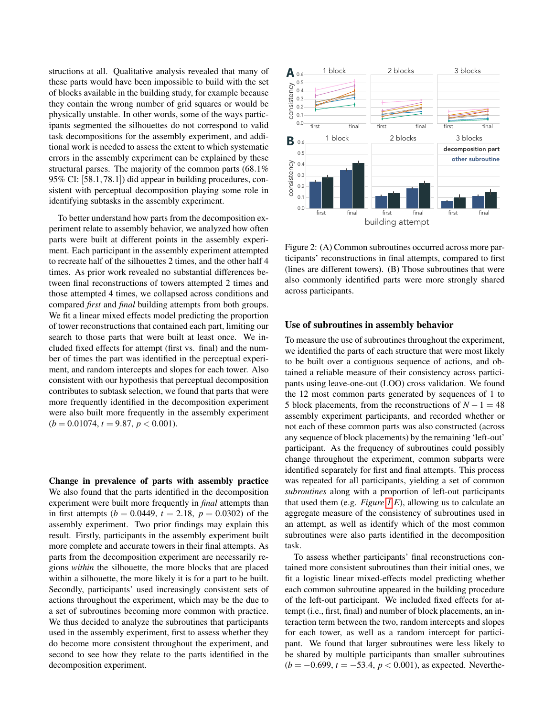structions at all. Qualitative analysis revealed that many of these parts would have been impossible to build with the set of blocks available in the building study, for example because they contain the wrong number of grid squares or would be physically unstable. In other words, some of the ways participants segmented the silhouettes do not correspond to valid task decompositions for the assembly experiment, and additional work is needed to assess the extent to which systematic errors in the assembly experiment can be explained by these structural parses. The majority of the common parts (68.1% 95% CI: [58.1,78.1]) did appear in building procedures, consistent with perceptual decomposition playing some role in identifying subtasks in the assembly experiment.

To better understand how parts from the decomposition experiment relate to assembly behavior, we analyzed how often parts were built at different points in the assembly experiment. Each participant in the assembly experiment attempted to recreate half of the silhouettes 2 times, and the other half 4 times. As prior work revealed no substantial differences between final reconstructions of towers attempted 2 times and those attempted 4 times, we collapsed across conditions and compared *first* and *final* building attempts from both groups. We fit a linear mixed effects model predicting the proportion of tower reconstructions that contained each part, limiting our search to those parts that were built at least once. We included fixed effects for attempt (first vs. final) and the number of times the part was identified in the perceptual experiment, and random intercepts and slopes for each tower. Also consistent with our hypothesis that perceptual decomposition contributes to subtask selection, we found that parts that were more frequently identified in the decomposition experiment were also built more frequently in the assembly experiment  $(b = 0.01074, t = 9.87, p < 0.001).$ 

Change in prevalence of parts with assembly practice We also found that the parts identified in the decomposition experiment were built more frequently in *final* attempts than in first attempts ( $b = 0.0449$ ,  $t = 2.18$ ,  $p = 0.0302$ ) of the assembly experiment. Two prior findings may explain this result. Firstly, participants in the assembly experiment built more complete and accurate towers in their final attempts. As parts from the decomposition experiment are necessarily regions *within* the silhouette, the more blocks that are placed within a silhouette, the more likely it is for a part to be built. Secondly, participants' used increasingly consistent sets of actions throughout the experiment, which may be the due to a set of subroutines becoming more common with practice. We thus decided to analyze the subroutines that participants used in the assembly experiment, first to assess whether they do become more consistent throughout the experiment, and second to see how they relate to the parts identified in the decomposition experiment.



<span id="page-3-0"></span>Figure 2: (A) Common subroutines occurred across more participants' reconstructions in final attempts, compared to first (lines are different towers). (B) Those subroutines that were also commonly identified parts were more strongly shared across participants.

#### Use of subroutines in assembly behavior

To measure the use of subroutines throughout the experiment, we identified the parts of each structure that were most likely to be built over a contiguous sequence of actions, and obtained a reliable measure of their consistency across participants using leave-one-out (LOO) cross validation. We found the 12 most common parts generated by sequences of 1 to 5 block placements, from the reconstructions of  $N - 1 = 48$ assembly experiment participants, and recorded whether or not each of these common parts was also constructed (across any sequence of block placements) by the remaining 'left-out' participant. As the frequency of subroutines could possibly change throughout the experiment, common subparts were identified separately for first and final attempts. This process was repeated for all participants, yielding a set of common *subroutines* along with a proportion of left-out participants that used them (e.g. *Figure [1](#page-2-0) E*), allowing us to calculate an aggregate measure of the consistency of subroutines used in an attempt, as well as identify which of the most common subroutines were also parts identified in the decomposition task.

To assess whether participants' final reconstructions contained more consistent subroutines than their initial ones, we fit a logistic linear mixed-effects model predicting whether each common subroutine appeared in the building procedure of the left-out participant. We included fixed effects for attempt (i.e., first, final) and number of block placements, an interaction term between the two, random intercepts and slopes for each tower, as well as a random intercept for participant. We found that larger subroutines were less likely to be shared by multiple participants than smaller subroutines (*b* = −0.699, *t* = −53.4, *p* < 0.001), as expected. Neverthe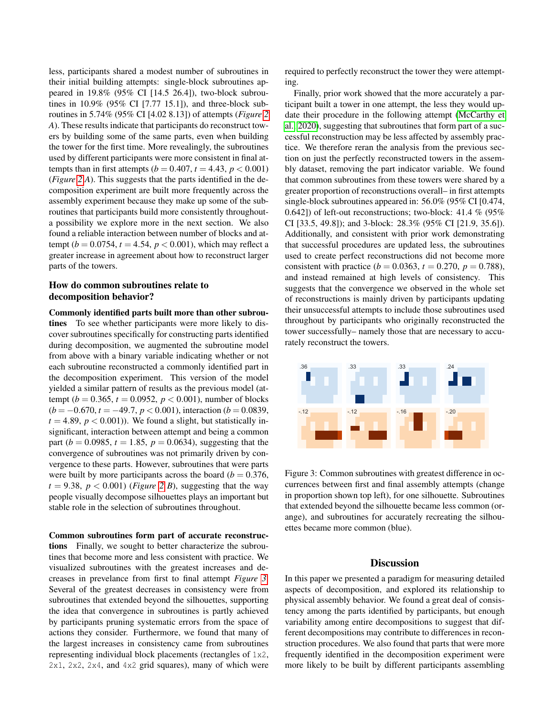less, participants shared a modest number of subroutines in their initial building attempts: single-block subroutines appeared in 19.8% (95% CI [14.5 26.4]), two-block subroutines in 10.9% (95% CI [7.77 15.1]), and three-block subroutines in 5.74% (95% CI [4.02 8.13]) of attempts (*Figure [2](#page-3-0) A*). These results indicate that participants do reconstruct towers by building some of the same parts, even when building the tower for the first time. More revealingly, the subroutines used by different participants were more consistent in final attempts than in first attempts ( $b = 0.407$ ,  $t = 4.43$ ,  $p < 0.001$ ) (*Figure [2](#page-3-0) A*). This suggests that the parts identified in the decomposition experiment are built more frequently across the assembly experiment because they make up some of the subroutines that participants build more consistently throughouta possibility we explore more in the next section. We also found a reliable interaction between number of blocks and attempt ( $b = 0.0754$ ,  $t = 4.54$ ,  $p < 0.001$ ), which may reflect a greater increase in agreement about how to reconstruct larger parts of the towers.

## How do common subroutines relate to decomposition behavior?

Commonly identified parts built more than other subroutines To see whether participants were more likely to discover subroutines specifically for constructing parts identified during decomposition, we augmented the subroutine model from above with a binary variable indicating whether or not each subroutine reconstructed a commonly identified part in the decomposition experiment. This version of the model yielded a similar pattern of results as the previous model (attempt ( $b = 0.365$ ,  $t = 0.0952$ ,  $p < 0.001$ ), number of blocks (*b* = −0.670, *t* = −49.7, *p* < 0.001), interaction (*b* = 0.0839,  $t = 4.89$ ,  $p < 0.001$ )). We found a slight, but statistically insignificant, interaction between attempt and being a common part ( $b = 0.0985$ ,  $t = 1.85$ ,  $p = 0.0634$ ), suggesting that the convergence of subroutines was not primarily driven by convergence to these parts. However, subroutines that were parts were built by more participants across the board ( $b = 0.376$ ,  $t = 9.38$ ,  $p < 0.001$ ) (*Figure [2](#page-3-0) B*), suggesting that the way people visually decompose silhouettes plays an important but stable role in the selection of subroutines throughout.

#### Common subroutines form part of accurate reconstruc-

tions Finally, we sought to better characterize the subroutines that become more and less consistent with practice. We visualized subroutines with the greatest increases and decreases in prevelance from first to final attempt *Figure [3](#page-4-0)*. Several of the greatest decreases in consistency were from subroutines that extended beyond the silhouettes, supporting the idea that convergence in subroutines is partly achieved by participants pruning systematic errors from the space of actions they consider. Furthermore, we found that many of the largest increases in consistency came from subroutines representing individual block placements (rectangles of 1x2, 2x1, 2x2, 2x4, and 4x2 grid squares), many of which were required to perfectly reconstruct the tower they were attempting.

Finally, prior work showed that the more accurately a participant built a tower in one attempt, the less they would update their procedure in the following attempt [\(McCarthy et](#page-6-19) [al., 2020\)](#page-6-19), suggesting that subroutines that form part of a successful reconstruction may be less affected by assembly practice. We therefore reran the analysis from the previous section on just the perfectly reconstructed towers in the assembly dataset, removing the part indicator variable. We found that common subroutines from these towers were shared by a greater proportion of reconstructions overall– in first attempts single-block subroutines appeared in: 56.0% (95% CI [0.474, 0.642]) of left-out reconstructions; two-block: 41.4 % (95% CI [33.5, 49.8]); and 3-block: 28.3% (95% CI [21.9, 35.6]). Additionally, and consistent with prior work demonstrating that successful procedures are updated less, the subroutines used to create perfect reconstructions did not become more consistent with practice ( $b = 0.0363$ ,  $t = 0.270$ ,  $p = 0.788$ ), and instead remained at high levels of consistency. This suggests that the convergence we observed in the whole set of reconstructions is mainly driven by participants updating their unsuccessful attempts to include those subroutines used throughout by participants who originally reconstructed the tower successfully– namely those that are necessary to accurately reconstruct the towers.



Figure 3: Common subroutines with greatest difference in occurrences between first and final assembly attempts (change in proportion shown top left), for one silhouette. Subroutines that extended beyond the silhouette became less common (orange), and subroutines for accurately recreating the silhouettes became more common (blue).

### <span id="page-4-0"></span>**Discussion**

In this paper we presented a paradigm for measuring detailed aspects of decomposition, and explored its relationship to physical assembly behavior. We found a great deal of consistency among the parts identified by participants, but enough variability among entire decompositions to suggest that different decompositions may contribute to differences in reconstruction procedures. We also found that parts that were more frequently identified in the decomposition experiment were more likely to be built by different participants assembling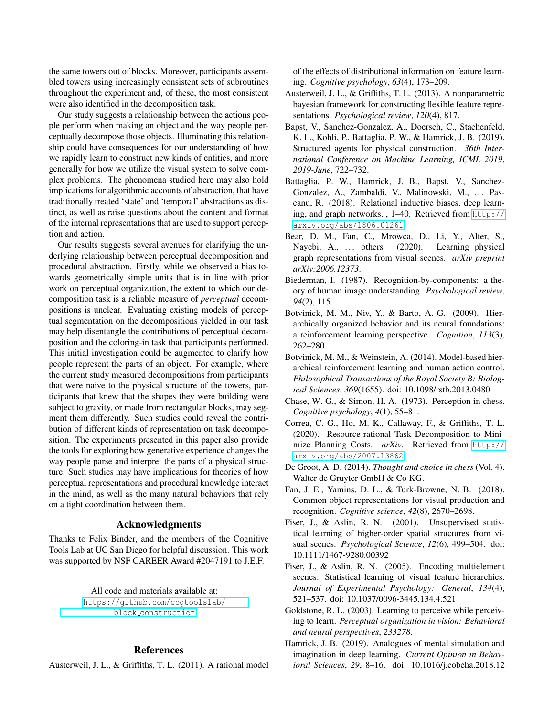the same towers out of blocks. Moreover, participants assembled towers using increasingly consistent sets of subroutines throughout the experiment and, of these, the most consistent were also identified in the decomposition task.

Our study suggests a relationship between the actions people perform when making an object and the way people perceptually decompose those objects. Illuminating this relationship could have consequences for our understanding of how we rapidly learn to construct new kinds of entities, and more generally for how we utilize the visual system to solve complex problems. The phenomena studied here may also hold implications for algorithmic accounts of abstraction, that have traditionally treated 'state' and 'temporal' abstractions as distinct, as well as raise questions about the content and format of the internal representations that are used to support perception and action.

Our results suggests several avenues for clarifying the underlying relationship between perceptual decomposition and procedural abstraction. Firstly, while we observed a bias towards geometrically simple units that is in line with prior work on perceptual organization, the extent to which our decomposition task is a reliable measure of *perceptual* decompositions is unclear. Evaluating existing models of perceptual segmentation on the decompositions yielded in our task may help disentangle the contributions of perceptual decomposition and the coloring-in task that participants performed. This initial investigation could be augmented to clarify how people represent the parts of an object. For example, where the current study measured decompositions from participants that were naive to the physical structure of the towers, participants that knew that the shapes they were building were subject to gravity, or made from rectangular blocks, may segment them differently. Such studies could reveal the contribution of different kinds of representation on task decomposition. The experiments presented in this paper also provide the tools for exploring how generative experience changes the way people parse and interpret the parts of a physical structure. Such studies may have implications for theories of how perceptual representations and procedural knowledge interact in the mind, as well as the many natural behaviors that rely on a tight coordination between them.

#### Acknowledgments

Thanks to Felix Binder, and the members of the Cognitive Tools Lab at UC San Diego for helpful discussion. This work was supported by NSF CAREER Award #2047191 to J.E.F.

> All code and materials available at: [https://github.com/cogtoolslab/](https://github.com/cogtoolslab/block_construction) block [construction](https://github.com/cogtoolslab/block_construction)

## References

<span id="page-5-8"></span>Austerweil, J. L., & Griffiths, T. L. (2011). A rational model

of the effects of distributional information on feature learning. *Cognitive psychology*, *63*(4), 173–209.

- <span id="page-5-9"></span>Austerweil, J. L., & Griffiths, T. L. (2013). A nonparametric bayesian framework for constructing flexible feature representations. *Psychological review*, *120*(4), 817.
- <span id="page-5-1"></span>Bapst, V., Sanchez-Gonzalez, A., Doersch, C., Stachenfeld, K. L., Kohli, P., Battaglia, P. W., & Hamrick, J. B. (2019). Structured agents for physical construction. *36th International Conference on Machine Learning, ICML 2019*, *2019-June*, 722–732.
- <span id="page-5-14"></span>Battaglia, P. W., Hamrick, J. B., Bapst, V., Sanchez-Gonzalez, A., Zambaldi, V., Malinowski, M., ... Pascanu, R. (2018). Relational inductive biases, deep learning, and graph networks. , 1–40. Retrieved from [http://](http://arxiv.org/abs/1806.01261) [arxiv.org/abs/1806.01261](http://arxiv.org/abs/1806.01261)
- <span id="page-5-15"></span>Bear, D. M., Fan, C., Mrowca, D., Li, Y., Alter, S., Nayebi, A., ... others (2020). Learning physical graph representations from visual scenes. *arXiv preprint arXiv:2006.12373*.
- <span id="page-5-10"></span>Biederman, I. (1987). Recognition-by-components: a theory of human image understanding. *Psychological review*, *94*(2), 115.
- <span id="page-5-0"></span>Botvinick, M. M., Niv, Y., & Barto, A. G. (2009). Hierarchically organized behavior and its neural foundations: a reinforcement learning perspective. *Cognition*, *113*(3), 262–280.
- <span id="page-5-3"></span>Botvinick, M. M., & Weinstein, A. (2014). Model-based hierarchical reinforcement learning and human action control. *Philosophical Transactions of the Royal Society B: Biological Sciences*, *369*(1655). doi: 10.1098/rstb.2013.0480
- <span id="page-5-12"></span>Chase, W. G., & Simon, H. A. (1973). Perception in chess. *Cognitive psychology*, *4*(1), 55–81.
- <span id="page-5-4"></span>Correa, C. G., Ho, M. K., Callaway, F., & Griffiths, T. L. (2020). Resource-rational Task Decomposition to Minimize Planning Costs. *arXiv*. Retrieved from [http://](http://arxiv.org/abs/2007.13862) [arxiv.org/abs/2007.13862](http://arxiv.org/abs/2007.13862)
- <span id="page-5-11"></span>De Groot, A. D. (2014). *Thought and choice in chess* (Vol. 4). Walter de Gruyter GmbH & Co KG.
- <span id="page-5-13"></span>Fan, J. E., Yamins, D. L., & Turk-Browne, N. B. (2018). Common object representations for visual production and recognition. *Cognitive science*, *42*(8), 2670–2698.
- <span id="page-5-6"></span>Fiser, J., & Aslin, R. N. (2001). Unsupervised statistical learning of higher-order spatial structures from visual scenes. *Psychological Science*, *12*(6), 499–504. doi: 10.1111/1467-9280.00392
- <span id="page-5-7"></span>Fiser, J., & Aslin, R. N. (2005). Encoding multielement scenes: Statistical learning of visual feature hierarchies. *Journal of Experimental Psychology: General*, *134*(4), 521–537. doi: 10.1037/0096-3445.134.4.521
- <span id="page-5-5"></span>Goldstone, R. L. (2003). Learning to perceive while perceiving to learn. *Perceptual organization in vision: Behavioral and neural perspectives*, *233278*.
- <span id="page-5-2"></span>Hamrick, J. B. (2019). Analogues of mental simulation and imagination in deep learning. *Current Opinion in Behavioral Sciences*, *29*, 8–16. doi: 10.1016/j.cobeha.2018.12